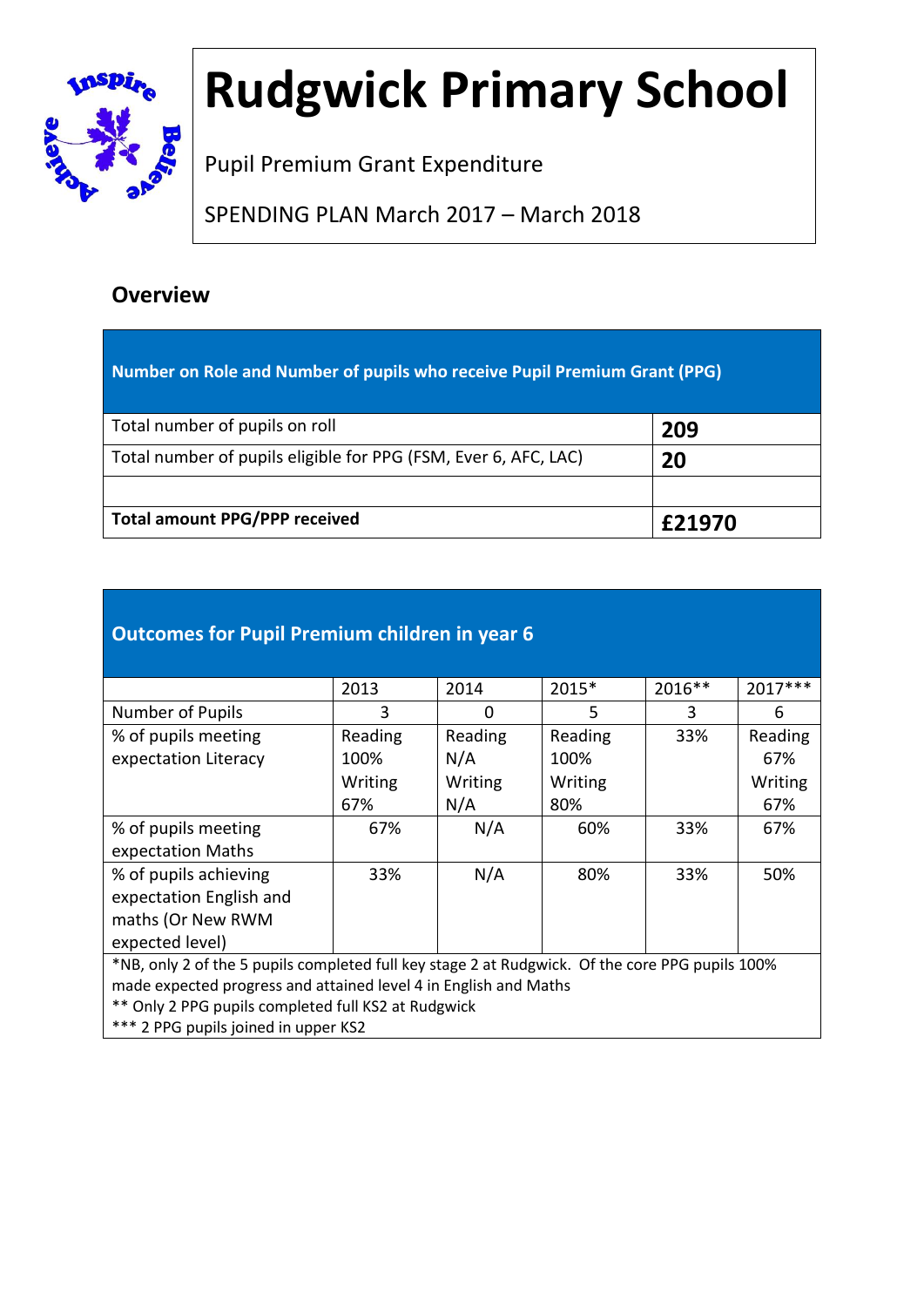

# **Rudgwick Primary School**

Pupil Premium Grant Expenditure

SPENDING PLAN March 2017 – March 2018

### **Overview**

| Number on Role and Number of pupils who receive Pupil Premium Grant (PPG) |        |
|---------------------------------------------------------------------------|--------|
| Total number of pupils on roll                                            | 209    |
| Total number of pupils eligible for PPG (FSM, Ever 6, AFC, LAC)           | 20     |
|                                                                           |        |
| <b>Total amount PPG/PPP received</b>                                      | £21970 |

#### **Outcomes for Pupil Premium children in year 6**

|                                                                                                 | 2013    | 2014    | 2015*   | 2016** | 2017*** |
|-------------------------------------------------------------------------------------------------|---------|---------|---------|--------|---------|
| Number of Pupils                                                                                | 3       | 0       | 5       | 3      | 6       |
| % of pupils meeting                                                                             | Reading | Reading | Reading | 33%    | Reading |
| expectation Literacy                                                                            | 100%    | N/A     | 100%    |        | 67%     |
|                                                                                                 | Writing | Writing | Writing |        | Writing |
|                                                                                                 | 67%     | N/A     | 80%     |        | 67%     |
| % of pupils meeting                                                                             | 67%     | N/A     | 60%     | 33%    | 67%     |
| expectation Maths                                                                               |         |         |         |        |         |
| % of pupils achieving                                                                           | 33%     | N/A     | 80%     | 33%    | 50%     |
| expectation English and                                                                         |         |         |         |        |         |
| maths (Or New RWM                                                                               |         |         |         |        |         |
| expected level)                                                                                 |         |         |         |        |         |
| *NB, only 2 of the 5 pupils completed full key stage 2 at Rudgwick. Of the core PPG pupils 100% |         |         |         |        |         |
| made expected progress and attained level 4 in English and Maths                                |         |         |         |        |         |
| ** Only 2 PPG pupils completed full KS2 at Rudgwick                                             |         |         |         |        |         |

\*\*\* 2 PPG pupils joined in upper KS2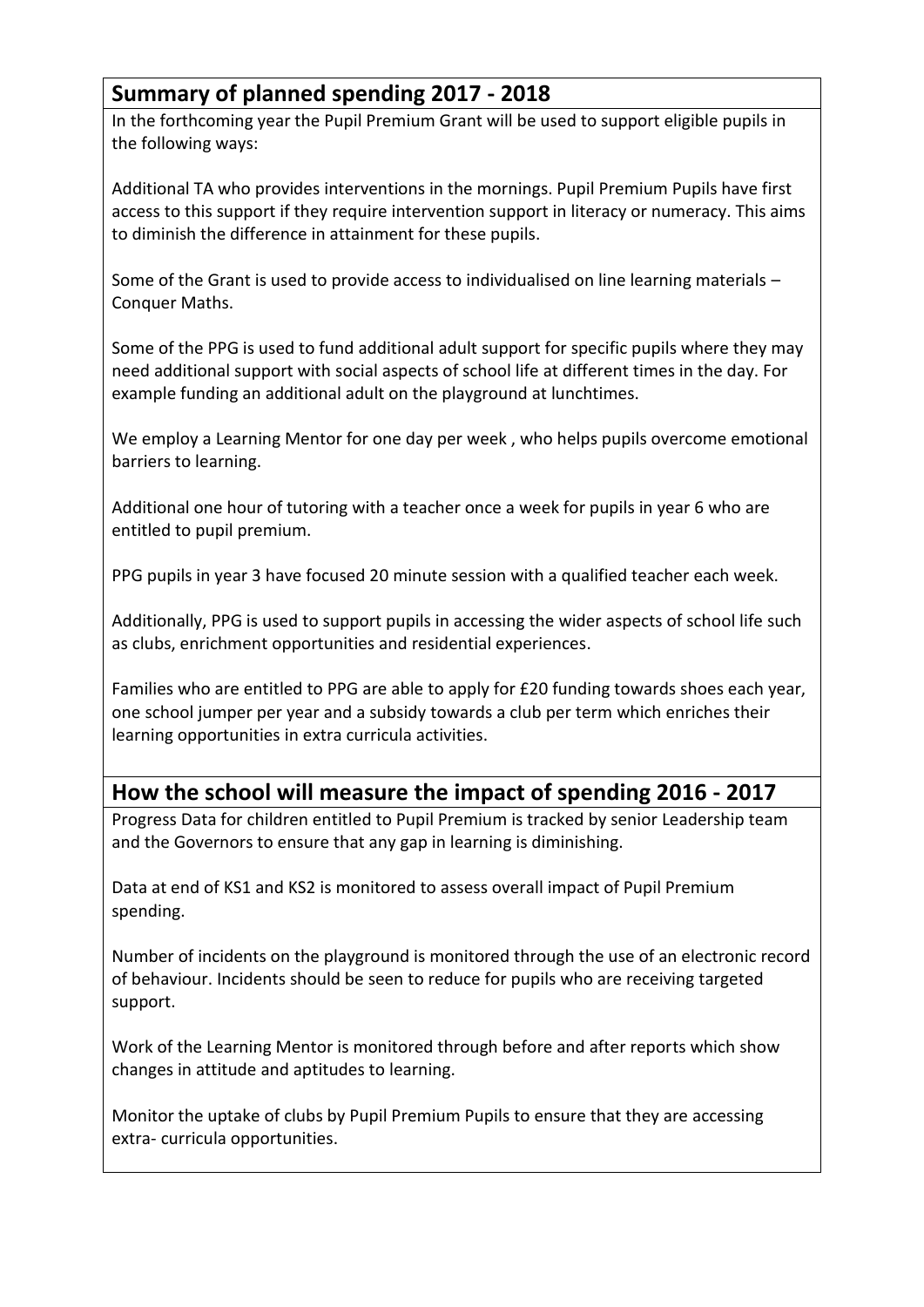#### **Summary of planned spending 2017 - 2018**

In the forthcoming year the Pupil Premium Grant will be used to support eligible pupils in the following ways:

Additional TA who provides interventions in the mornings. Pupil Premium Pupils have first access to this support if they require intervention support in literacy or numeracy. This aims to diminish the difference in attainment for these pupils.

Some of the Grant is used to provide access to individualised on line learning materials – Conquer Maths.

Some of the PPG is used to fund additional adult support for specific pupils where they may need additional support with social aspects of school life at different times in the day. For example funding an additional adult on the playground at lunchtimes.

We employ a Learning Mentor for one day per week , who helps pupils overcome emotional barriers to learning.

Additional one hour of tutoring with a teacher once a week for pupils in year 6 who are entitled to pupil premium.

PPG pupils in year 3 have focused 20 minute session with a qualified teacher each week.

Additionally, PPG is used to support pupils in accessing the wider aspects of school life such as clubs, enrichment opportunities and residential experiences.

Families who are entitled to PPG are able to apply for £20 funding towards shoes each year, one school jumper per year and a subsidy towards a club per term which enriches their learning opportunities in extra curricula activities.

#### **How the school will measure the impact of spending 2016 - 2017**

Progress Data for children entitled to Pupil Premium is tracked by senior Leadership team and the Governors to ensure that any gap in learning is diminishing.

Data at end of KS1 and KS2 is monitored to assess overall impact of Pupil Premium spending.

Number of incidents on the playground is monitored through the use of an electronic record of behaviour. Incidents should be seen to reduce for pupils who are receiving targeted support.

Work of the Learning Mentor is monitored through before and after reports which show changes in attitude and aptitudes to learning.

Monitor the uptake of clubs by Pupil Premium Pupils to ensure that they are accessing extra- curricula opportunities.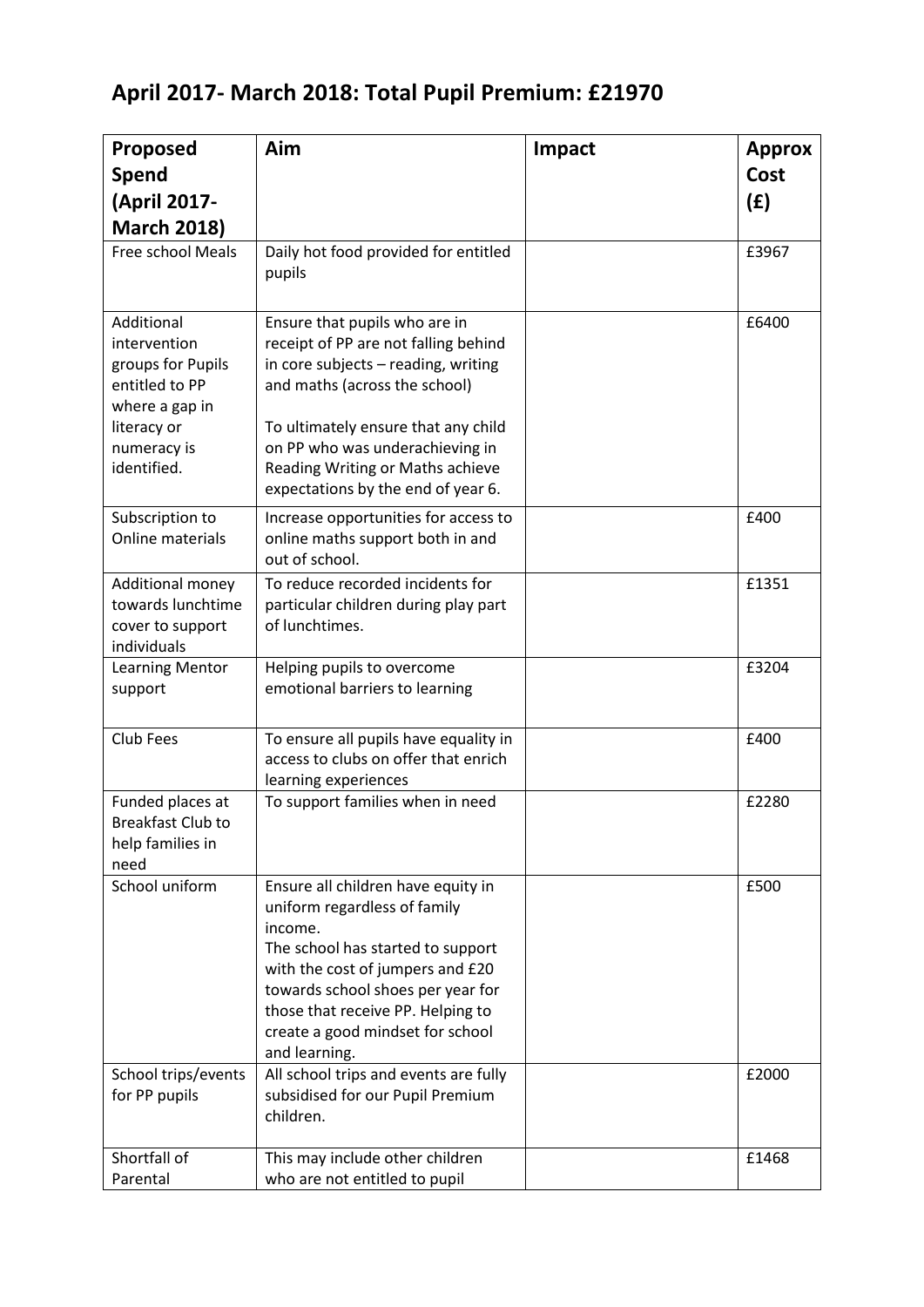## **April 2017- March 2018: Total Pupil Premium: £21970**

| Proposed                                                                                                                         | Aim                                                                                                                                                                                                                                                                                               | Impact | <b>Approx</b> |
|----------------------------------------------------------------------------------------------------------------------------------|---------------------------------------------------------------------------------------------------------------------------------------------------------------------------------------------------------------------------------------------------------------------------------------------------|--------|---------------|
| <b>Spend</b>                                                                                                                     |                                                                                                                                                                                                                                                                                                   |        | Cost          |
| (April 2017-                                                                                                                     |                                                                                                                                                                                                                                                                                                   |        | (E)           |
| <b>March 2018)</b>                                                                                                               |                                                                                                                                                                                                                                                                                                   |        |               |
| Free school Meals                                                                                                                | Daily hot food provided for entitled<br>pupils                                                                                                                                                                                                                                                    |        | £3967         |
| Additional<br>intervention<br>groups for Pupils<br>entitled to PP<br>where a gap in<br>literacy or<br>numeracy is<br>identified. | Ensure that pupils who are in<br>receipt of PP are not falling behind<br>in core subjects - reading, writing<br>and maths (across the school)<br>To ultimately ensure that any child<br>on PP who was underachieving in<br>Reading Writing or Maths achieve<br>expectations by the end of year 6. |        | £6400         |
| Subscription to<br>Online materials                                                                                              | Increase opportunities for access to<br>online maths support both in and<br>out of school.                                                                                                                                                                                                        |        | £400          |
| Additional money<br>towards lunchtime<br>cover to support<br>individuals                                                         | To reduce recorded incidents for<br>particular children during play part<br>of lunchtimes.                                                                                                                                                                                                        |        | £1351         |
| <b>Learning Mentor</b><br>support                                                                                                | Helping pupils to overcome<br>emotional barriers to learning                                                                                                                                                                                                                                      |        | £3204         |
| Club Fees                                                                                                                        | To ensure all pupils have equality in<br>access to clubs on offer that enrich<br>learning experiences                                                                                                                                                                                             |        | £400          |
| Funded places at<br><b>Breakfast Club to</b><br>help families in<br>need                                                         | To support families when in need                                                                                                                                                                                                                                                                  |        | £2280         |
| School uniform                                                                                                                   | Ensure all children have equity in<br>uniform regardless of family<br>income.<br>The school has started to support<br>with the cost of jumpers and £20<br>towards school shoes per year for<br>those that receive PP. Helping to<br>create a good mindset for school<br>and learning.             |        | £500          |
| School trips/events<br>for PP pupils                                                                                             | All school trips and events are fully<br>subsidised for our Pupil Premium<br>children.                                                                                                                                                                                                            |        | £2000         |
| Shortfall of<br>Parental                                                                                                         | This may include other children<br>who are not entitled to pupil                                                                                                                                                                                                                                  |        | £1468         |